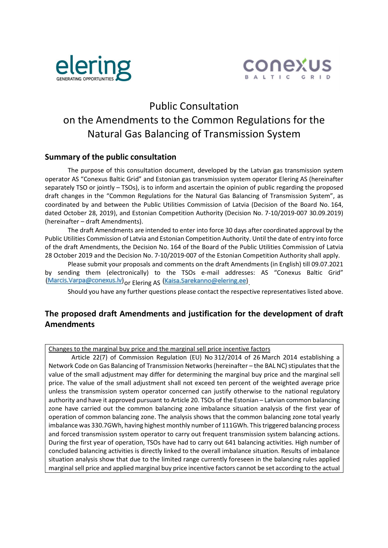



# Public Consultation on the Amendments to the Common Regulations for the Natural Gas Balancing of Transmission System

### Summary of the public consultation

 The purpose of this consultation document, developed by the Latvian gas transmission system operator AS "Conexus Baltic Grid" and Estonian gas transmission system operator Elering AS (hereinafter separately TSO or jointly – TSOs), is to inform and ascertain the opinion of public regarding the proposed draft changes in the "Common Regulations for the Natural Gas Balancing of Transmission System", as coordinated by and between the Public Utilities Commission of Latvia (Decision of the Board No. 164, dated October 28, 2019), and Estonian Competition Authority (Decision No. 7-10/2019-007 30.09.2019) (hereinafter – draft Amendments).

 The draft Amendments are intended to enter into force 30 days after coordinated approval by the Public Utilities Commission of Latvia and Estonian Competition Authority. Until the date of entry into force of the draft Amendments, the Decision No. 164 of the Board of the Public Utilities Commission of Latvia 28 October 2019 and the Decision No. 7-10/2019-007 of the Estonian Competition Authority shall apply.

 Please submit your proposals and comments on the draft Amendments (in English) till 09.07.2021 by sending them (electronically) to the TSOs e-mail addresses: AS "Conexus Baltic Grid" (Marcis.Varpa@conexus.lv) or Elering AS (Kaisa.Sarekanno@elering.ee)

Should you have any further questions please contact the respective representatives listed above.

## The proposed draft Amendments and justification for the development of draft **Amendments**

Changes to the marginal buy price and the marginal sell price incentive factors

 Article 22(7) of Commission Regulation (EU) No 312/2014 of 26 March 2014 establishing a Network Code on Gas Balancing of Transmission Networks (hereinafter – the BAL NC) stipulates that the value of the small adjustment may differ for determining the marginal buy price and the marginal sell price. The value of the small adjustment shall not exceed ten percent of the weighted average price unless the transmission system operator concerned can justify otherwise to the national regulatory authority and have it approved pursuant to Article 20. TSOs of the Estonian – Latvian common balancing zone have carried out the common balancing zone imbalance situation analysis of the first year of operation of common balancing zone. The analysis shows that the common balancing zone total yearly imbalance was 330.7GWh, having highest monthly number of 111GWh. This triggered balancing process and forced transmission system operator to carry out frequent transmission system balancing actions. During the first year of operation, TSOs have had to carry out 641 balancing activities. High number of concluded balancing activities is directly linked to the overall imbalance situation. Results of imbalance situation analysis show that due to the limited range currently foreseen in the balancing rules applied marginal sell price and applied marginal buy price incentive factors cannot be set according to the actual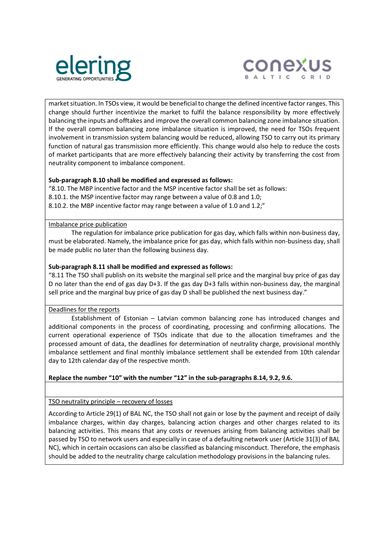



market situation. In TSOs view, it would be beneficial to change the defined incentive factor ranges. This change should further incentivize the market to fulfil the balance responsibility by more effectively balancing the inputs and offtakes and improve the overall common balancing zone imbalance situation. If the overall common balancing zone imbalance situation is improved, the need for TSOs frequent involvement in transmission system balancing would be reduced, allowing TSO to carry out its primary function of natural gas transmission more efficiently. This change would also help to reduce the costs of market participants that are more effectively balancing their activity by transferring the cost from neutrality component to imbalance component.

#### Sub-paragraph 8.10 shall be modified and expressed as follows:

"8.10. The MBP incentive factor and the MSP incentive factor shall be set as follows: 8.10.1. the MSP incentive factor may range between a value of 0.8 and 1.0; 8.10.2. the MBP incentive factor may range between a value of 1.0 and 1.2;"

#### Imbalance price publication

 The regulation for imbalance price publication for gas day, which falls within non-business day, must be elaborated. Namely, the imbalance price for gas day, which falls within non-business day, shall be made public no later than the following business day.

#### Sub-paragraph 8.11 shall be modified and expressed as follows:

"8.11 The TSO shall publish on its website the marginal sell price and the marginal buy price of gas day D no later than the end of gas day D+3. If the gas day D+3 falls within non-business day, the marginal sell price and the marginal buy price of gas day D shall be published the next business day."

#### Deadlines for the reports

 Establishment of Estonian – Latvian common balancing zone has introduced changes and additional components in the process of coordinating, processing and confirming allocations. The current operational experience of TSOs indicate that due to the allocation timeframes and the processed amount of data, the deadlines for determination of neutrality charge, provisional monthly imbalance settlement and final monthly imbalance settlement shall be extended from 10th calendar day to 12th calendar day of the respective month.

#### Replace the number "10" with the number "12" in the sub-paragraphs 8.14, 9.2, 9.6.

#### TSO neutrality principle – recovery of losses

According to Article 29(1) of BAL NC, the TSO shall not gain or lose by the payment and receipt of daily imbalance charges, within day charges, balancing action charges and other charges related to its balancing activities. This means that any costs or revenues arising from balancing activities shall be passed by TSO to network users and especially in case of a defaulting network user (Article 31(3) of BAL NC), which in certain occasions can also be classified as balancing misconduct. Therefore, the emphasis should be added to the neutrality charge calculation methodology provisions in the balancing rules.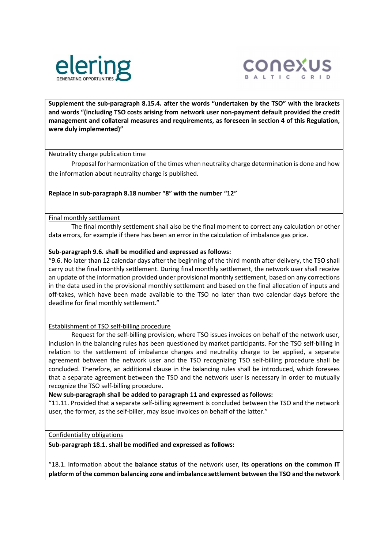



Supplement the sub-paragraph 8.15.4. after the words "undertaken by the TSO" with the brackets and words "(including TSO costs arising from network user non-payment default provided the credit management and collateral measures and requirements, as foreseen in section 4 of this Regulation, were duly implemented)"

Neutrality charge publication time

 Proposal for harmonization of the times when neutrality charge determination is done and how the information about neutrality charge is published.

#### Replace in sub-paragraph 8.18 number "8" with the number "12"

Final monthly settlement

 The final monthly settlement shall also be the final moment to correct any calculation or other data errors, for example if there has been an error in the calculation of imbalance gas price.

#### Sub-paragraph 9.6. shall be modified and expressed as follows:

"9.6. No later than 12 calendar days after the beginning of the third month after delivery, the TSO shall carry out the final monthly settlement. During final monthly settlement, the network user shall receive an update of the information provided under provisional monthly settlement, based on any corrections in the data used in the provisional monthly settlement and based on the final allocation of inputs and off-takes, which have been made available to the TSO no later than two calendar days before the deadline for final monthly settlement."

#### Establishment of TSO self-billing procedure

 Request for the self-billing provision, where TSO issues invoices on behalf of the network user, inclusion in the balancing rules has been questioned by market participants. For the TSO self-billing in relation to the settlement of imbalance charges and neutrality charge to be applied, a separate agreement between the network user and the TSO recognizing TSO self-billing procedure shall be concluded. Therefore, an additional clause in the balancing rules shall be introduced, which foresees that a separate agreement between the TSO and the network user is necessary in order to mutually recognize the TSO self-billing procedure.

New sub-paragraph shall be added to paragraph 11 and expressed as follows:

"11.11. Provided that a separate self-billing agreement is concluded between the TSO and the network user, the former, as the self-biller, may issue invoices on behalf of the latter."

#### Confidentiality obligations

Sub-paragraph 18.1. shall be modified and expressed as follows:

"18.1. Information about the balance status of the network user, its operations on the common IT platform of the common balancing zone and imbalance settlement between the TSO and the network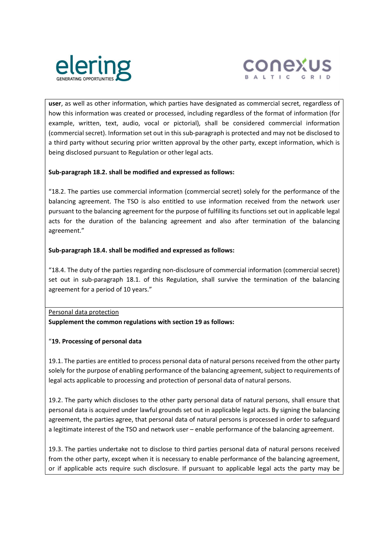



user, as well as other information, which parties have designated as commercial secret, regardless of how this information was created or processed, including regardless of the format of information (for example, written, text, audio, vocal or pictorial), shall be considered commercial information (commercial secret). Information set out in this sub-paragraph is protected and may not be disclosed to a third party without securing prior written approval by the other party, except information, which is being disclosed pursuant to Regulation or other legal acts.

#### Sub-paragraph 18.2. shall be modified and expressed as follows:

"18.2. The parties use commercial information (commercial secret) solely for the performance of the balancing agreement. The TSO is also entitled to use information received from the network user pursuant to the balancing agreement for the purpose of fulfilling its functions set out in applicable legal acts for the duration of the balancing agreement and also after termination of the balancing agreement."

#### Sub-paragraph 18.4. shall be modified and expressed as follows:

"18.4. The duty of the parties regarding non-disclosure of commercial information (commercial secret) set out in sub-paragraph 18.1. of this Regulation, shall survive the termination of the balancing agreement for a period of 10 years."

Personal data protection

Supplement the common regulations with section 19 as follows:

#### "19. Processing of personal data

19.1. The parties are entitled to process personal data of natural persons received from the other party solely for the purpose of enabling performance of the balancing agreement, subject to requirements of legal acts applicable to processing and protection of personal data of natural persons.

19.2. The party which discloses to the other party personal data of natural persons, shall ensure that personal data is acquired under lawful grounds set out in applicable legal acts. By signing the balancing agreement, the parties agree, that personal data of natural persons is processed in order to safeguard a legitimate interest of the TSO and network user – enable performance of the balancing agreement.

19.3. The parties undertake not to disclose to third parties personal data of natural persons received from the other party, except when it is necessary to enable performance of the balancing agreement, or if applicable acts require such disclosure. If pursuant to applicable legal acts the party may be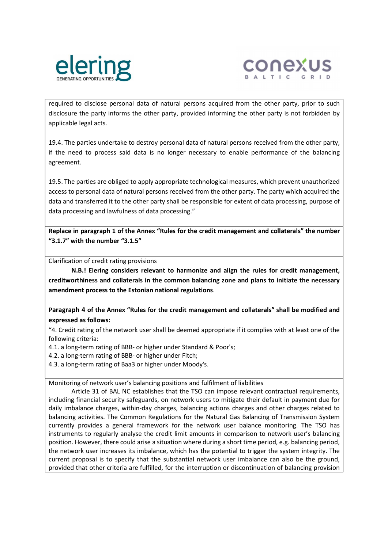



required to disclose personal data of natural persons acquired from the other party, prior to such disclosure the party informs the other party, provided informing the other party is not forbidden by applicable legal acts.

19.4. The parties undertake to destroy personal data of natural persons received from the other party, if the need to process said data is no longer necessary to enable performance of the balancing agreement.

19.5. The parties are obliged to apply appropriate technological measures, which prevent unauthorized access to personal data of natural persons received from the other party. The party which acquired the data and transferred it to the other party shall be responsible for extent of data processing, purpose of data processing and lawfulness of data processing."

Replace in paragraph 1 of the Annex "Rules for the credit management and collaterals" the number "3.1.7" with the number "3.1.5"

Clarification of credit rating provisions

N.B.! Elering considers relevant to harmonize and align the rules for credit management, creditworthiness and collaterals in the common balancing zone and plans to initiate the necessary amendment process to the Estonian national regulations.

Paragraph 4 of the Annex "Rules for the credit management and collaterals" shall be modified and expressed as follows:

"4. Credit rating of the network user shall be deemed appropriate if it complies with at least one of the following criteria:

4.1. a long-term rating of BBB- or higher under Standard & Poor's;

4.2. a long-term rating of BBB- or higher under Fitch;

4.3. a long-term rating of Baa3 or higher under Moody's.

Monitoring of network user's balancing positions and fulfilment of liabilities

 Article 31 of BAL NC establishes that the TSO can impose relevant contractual requirements, including financial security safeguards, on network users to mitigate their default in payment due for daily imbalance charges, within-day charges, balancing actions charges and other charges related to balancing activities. The Common Regulations for the Natural Gas Balancing of Transmission System currently provides a general framework for the network user balance monitoring. The TSO has instruments to regularly analyse the credit limit amounts in comparison to network user's balancing position. However, there could arise a situation where during a short time period, e.g. balancing period, the network user increases its imbalance, which has the potential to trigger the system integrity. The current proposal is to specify that the substantial network user imbalance can also be the ground, provided that other criteria are fulfilled, for the interruption or discontinuation of balancing provision